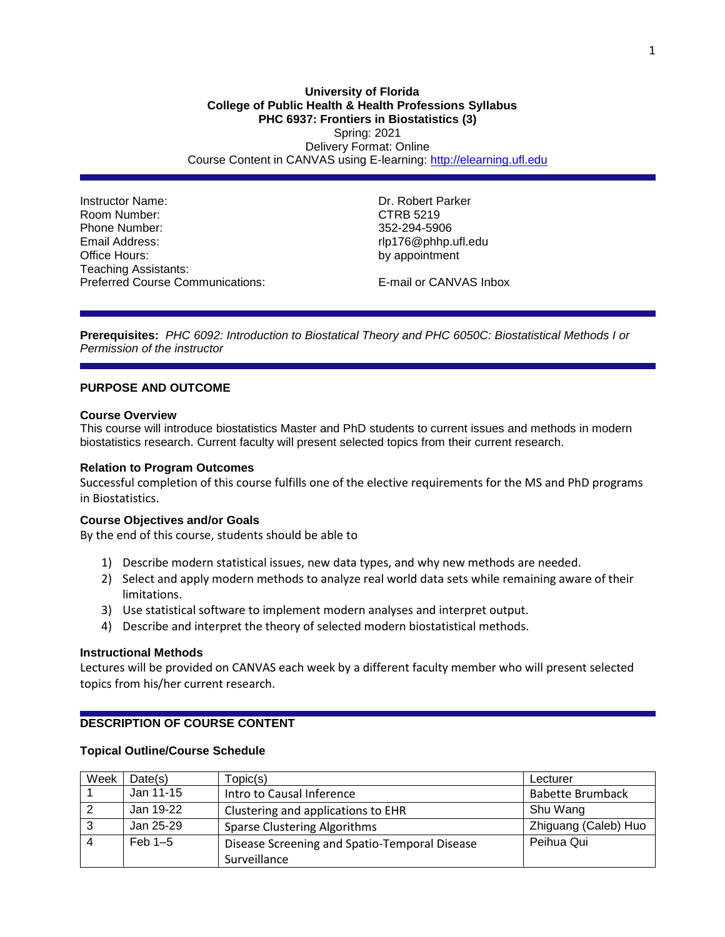Instructor Name: Dr. Robert Parker Room Number: CTRB 5219 Phone Number: 352-294-5906 Email Address: extending the mail Address: rlp176@phhp.ufl.edu Office Hours: by appointment Teaching Assistants: Preferred Course Communications: E-mail or CANVAS Inbox

**Prerequisites:** *PHC 6092: Introduction to Biostatical Theory and PHC 6050C: Biostatistical Methods I or Permission of the instructor*

## **PURPOSE AND OUTCOME**

#### **Course Overview**

This course will introduce biostatistics Master and PhD students to current issues and methods in modern biostatistics research. Current faculty will present selected topics from their current research.

#### **Relation to Program Outcomes**

Successful completion of this course fulfills one of the elective requirements for the MS and PhD programs in Biostatistics.

## **Course Objectives and/or Goals**

By the end of this course, students should be able to

- 1) Describe modern statistical issues, new data types, and why new methods are needed.
- 2) Select and apply modern methods to analyze real world data sets while remaining aware of their limitations.
- 3) Use statistical software to implement modern analyses and interpret output.
- 4) Describe and interpret the theory of selected modern biostatistical methods.

#### **Instructional Methods**

Lectures will be provided on CANVAS each week by a different faculty member who will present selected topics from his/her current research.

# **DESCRIPTION OF COURSE CONTENT**

#### **Topical Outline/Course Schedule**

| Week | Date(s)   | Topic(s)                                      | Lecturer                |
|------|-----------|-----------------------------------------------|-------------------------|
|      | Jan 11-15 | Intro to Causal Inference                     | <b>Babette Brumback</b> |
|      | Jan 19-22 | Clustering and applications to EHR            | Shu Wang                |
| 3    | Jan 25-29 | <b>Sparse Clustering Algorithms</b>           | Zhiguang (Caleb) Huo    |
|      | Feb $1-5$ | Disease Screening and Spatio-Temporal Disease | Peihua Qui              |
|      |           | Surveillance                                  |                         |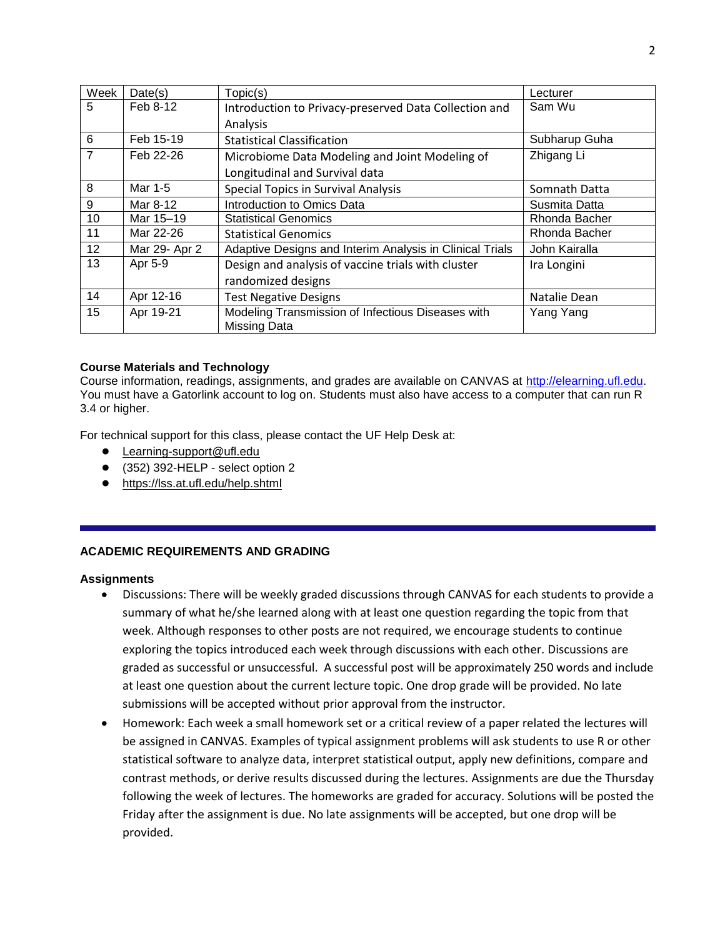| Week           | Date(s)       | Topic(s)                                                          | Lecturer      |  |  |
|----------------|---------------|-------------------------------------------------------------------|---------------|--|--|
| 5              | Feb 8-12      | Introduction to Privacy-preserved Data Collection and             | Sam Wu        |  |  |
|                |               | Analysis                                                          |               |  |  |
| 6              | Feb 15-19     | <b>Statistical Classification</b>                                 | Subharup Guha |  |  |
| $\overline{7}$ | Feb 22-26     | Microbiome Data Modeling and Joint Modeling of                    | Zhigang Li    |  |  |
|                |               | Longitudinal and Survival data                                    |               |  |  |
| 8              | Mar 1-5       | <b>Special Topics in Survival Analysis</b>                        | Somnath Datta |  |  |
| 9              | Mar 8-12      | Introduction to Omics Data                                        | Susmita Datta |  |  |
| 10             | Mar 15-19     | <b>Statistical Genomics</b>                                       | Rhonda Bacher |  |  |
| 11             | Mar 22-26     | <b>Statistical Genomics</b>                                       | Rhonda Bacher |  |  |
| 12             | Mar 29- Apr 2 | Adaptive Designs and Interim Analysis in Clinical Trials          | John Kairalla |  |  |
| 13             | Apr 5-9       | Design and analysis of vaccine trials with cluster                | Ira Longini   |  |  |
|                |               | randomized designs                                                |               |  |  |
| 14             | Apr 12-16     | <b>Test Negative Designs</b>                                      | Natalie Dean  |  |  |
| 15             | Apr 19-21     | Modeling Transmission of Infectious Diseases with<br>Missing Data | Yang Yang     |  |  |

## **Course Materials and Technology**

Course information, readings, assignments, and grades are available on CANVAS at [http://elearning.ufl.edu.](http://elearning.ufl.edu/) You must have a Gatorlink account to log on. Students must also have access to a computer that can run R 3.4 or higher.

For technical support for this class, please contact the UF Help Desk at:

- [Learning-support@ufl.edu](file:///C:/Users/hackg/Desktop/Learning-support@ufl.edu)
- (352) 392-HELP select option 2
- <https://lss.at.ufl.edu/help.shtml>

## **ACADEMIC REQUIREMENTS AND GRADING**

## **Assignments**

- Discussions: There will be weekly graded discussions through CANVAS for each students to provide a summary of what he/she learned along with at least one question regarding the topic from that week. Although responses to other posts are not required, we encourage students to continue exploring the topics introduced each week through discussions with each other. Discussions are graded as successful or unsuccessful. A successful post will be approximately 250 words and include at least one question about the current lecture topic. One drop grade will be provided. No late submissions will be accepted without prior approval from the instructor.
- Homework: Each week a small homework set or a critical review of a paper related the lectures will be assigned in CANVAS. Examples of typical assignment problems will ask students to use R or other statistical software to analyze data, interpret statistical output, apply new definitions, compare and contrast methods, or derive results discussed during the lectures. Assignments are due the Thursday following the week of lectures. The homeworks are graded for accuracy. Solutions will be posted the Friday after the assignment is due. No late assignments will be accepted, but one drop will be provided.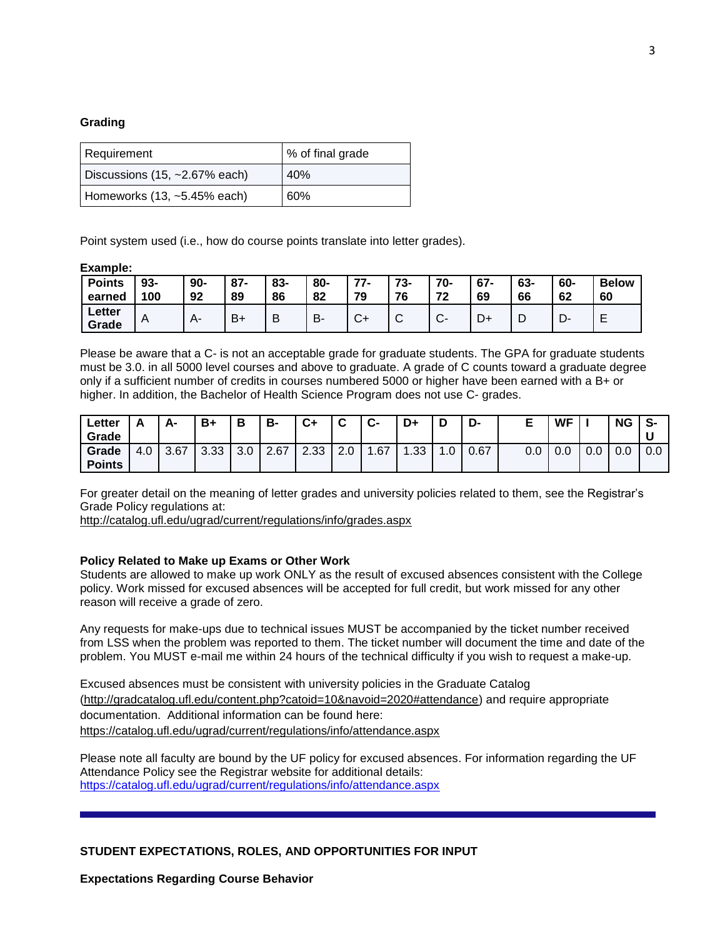#### **Grading**

| Requirement                      | % of final grade |  |  |  |  |
|----------------------------------|------------------|--|--|--|--|
| Discussions $(15, -2.67\%$ each) | 40%              |  |  |  |  |
| Homeworks $(13, -5.45\%$ each)   | 60%              |  |  |  |  |

Point system used (i.e., how do course points translate into letter grades).

#### **Example:**

| <b>Points</b>   | $93 -$         | $90-$ | $87 -$         | 83- | 80- | 77-          | 73-             | 70-    | $67 -$ | 63- | 60- | <b>Below</b> |
|-----------------|----------------|-------|----------------|-----|-----|--------------|-----------------|--------|--------|-----|-----|--------------|
| earned          | 100            | 92    | 89             | 86  | 82  | 70           | 76              | 70     | 69     | 66  | 62  | 60           |
| Letter<br>Grade | $\overline{A}$ |       | B <sub>1</sub> | ٥   | B.  | $\sim$<br>v- | $\sqrt{2}$<br>ັ | $\sim$ | レ+     | ┕   | – ∪ | ▃            |

Please be aware that a C- is not an acceptable grade for graduate students. The GPA for graduate students must be 3.0. in all 5000 level courses and above to graduate. A grade of C counts toward a graduate degree only if a sufficient number of credits in courses numbered 5000 or higher have been earned with a B+ or higher. In addition, the Bachelor of Health Science Program does not use C- grades.

| ∟etter        |     | А-   | B+   | В                | B-   | C+   | ◠               | $\bullet$ | D+               | ◡               | -ש   |     | <b>WF</b> |     | NG  | -S  |
|---------------|-----|------|------|------------------|------|------|-----------------|-----------|------------------|-----------------|------|-----|-----------|-----|-----|-----|
| Grade         |     |      |      |                  |      |      |                 |           |                  |                 |      |     |           |     |     |     |
| Grade         | 4.0 | 3.67 | 3.33 | $\Omega$<br>.J.U | 2.67 | 2.33 | $\Omega$<br>z.u | .67       | .33 <sub>1</sub> | $\sim$<br>. . U | 0.67 | 0.0 | 0.0       | 0.0 | 0.0 | 0.0 |
| <b>Points</b> |     |      |      |                  |      |      |                 |           |                  |                 |      |     |           |     |     |     |

For greater detail on the meaning of letter grades and university policies related to them, see the Registrar's Grade Policy regulations at:

<http://catalog.ufl.edu/ugrad/current/regulations/info/grades.aspx>

#### **Policy Related to Make up Exams or Other Work**

Students are allowed to make up work ONLY as the result of excused absences consistent with the College policy. Work missed for excused absences will be accepted for full credit, but work missed for any other reason will receive a grade of zero.

Any requests for make-ups due to technical issues MUST be accompanied by the ticket number received from LSS when the problem was reported to them. The ticket number will document the time and date of the problem. You MUST e-mail me within 24 hours of the technical difficulty if you wish to request a make-up.

Excused absences must be consistent with university policies in the Graduate Catalog [\(http://gradcatalog.ufl.edu/content.php?catoid=10&navoid=2020#attendance\)](http://gradcatalog.ufl.edu/content.php?catoid=10&navoid=2020#attendance) and require appropriate documentation. Additional information can be found here: <https://catalog.ufl.edu/ugrad/current/regulations/info/attendance.aspx>

Please note all faculty are bound by the UF policy for excused absences. For information regarding the UF Attendance Policy see the Registrar website for additional details: <https://catalog.ufl.edu/ugrad/current/regulations/info/attendance.aspx>

**STUDENT EXPECTATIONS, ROLES, AND OPPORTUNITIES FOR INPUT**

**Expectations Regarding Course Behavior**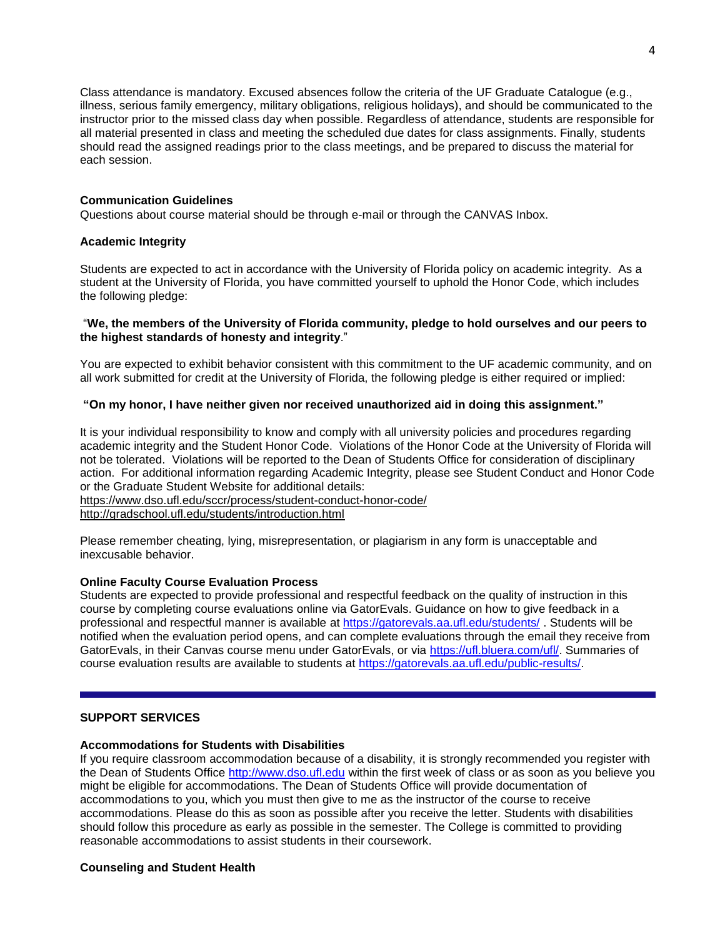Class attendance is mandatory. Excused absences follow the criteria of the UF Graduate Catalogue (e.g., illness, serious family emergency, military obligations, religious holidays), and should be communicated to the instructor prior to the missed class day when possible. Regardless of attendance, students are responsible for all material presented in class and meeting the scheduled due dates for class assignments. Finally, students should read the assigned readings prior to the class meetings, and be prepared to discuss the material for each session.

### **Communication Guidelines**

Questions about course material should be through e-mail or through the CANVAS Inbox.

#### **Academic Integrity**

Students are expected to act in accordance with the University of Florida policy on academic integrity. As a student at the University of Florida, you have committed yourself to uphold the Honor Code, which includes the following pledge:

#### "**We, the members of the University of Florida community, pledge to hold ourselves and our peers to the highest standards of honesty and integrity**."

You are expected to exhibit behavior consistent with this commitment to the UF academic community, and on all work submitted for credit at the University of Florida, the following pledge is either required or implied:

### **"On my honor, I have neither given nor received unauthorized aid in doing this assignment."**

It is your individual responsibility to know and comply with all university policies and procedures regarding academic integrity and the Student Honor Code. Violations of the Honor Code at the University of Florida will not be tolerated. Violations will be reported to the Dean of Students Office for consideration of disciplinary action. For additional information regarding Academic Integrity, please see Student Conduct and Honor Code or the Graduate Student Website for additional details:

<https://www.dso.ufl.edu/sccr/process/student-conduct-honor-code/> <http://gradschool.ufl.edu/students/introduction.html>

Please remember cheating, lying, misrepresentation, or plagiarism in any form is unacceptable and inexcusable behavior.

#### **Online Faculty Course Evaluation Process**

Students are expected to provide professional and respectful feedback on the quality of instruction in this course by completing course evaluations online via GatorEvals. Guidance on how to give feedback in a professional and respectful manner is available at<https://gatorevals.aa.ufl.edu/students/> . Students will be notified when the evaluation period opens, and can complete evaluations through the email they receive from GatorEvals, in their Canvas course menu under GatorEvals, or via [https://ufl.bluera.com/ufl/.](https://ufl.bluera.com/ufl/) Summaries of course evaluation results are available to students at [https://gatorevals.aa.ufl.edu/public-results/.](https://gatorevals.aa.ufl.edu/public-results/)

## **SUPPORT SERVICES**

#### **Accommodations for Students with Disabilities**

If you require classroom accommodation because of a disability, it is strongly recommended you register with the Dean of Students Office [http://www.dso.ufl.edu](http://www.dso.ufl.edu/) within the first week of class or as soon as you believe you might be eligible for accommodations. The Dean of Students Office will provide documentation of accommodations to you, which you must then give to me as the instructor of the course to receive accommodations. Please do this as soon as possible after you receive the letter. Students with disabilities should follow this procedure as early as possible in the semester. The College is committed to providing reasonable accommodations to assist students in their coursework.

#### **Counseling and Student Health**